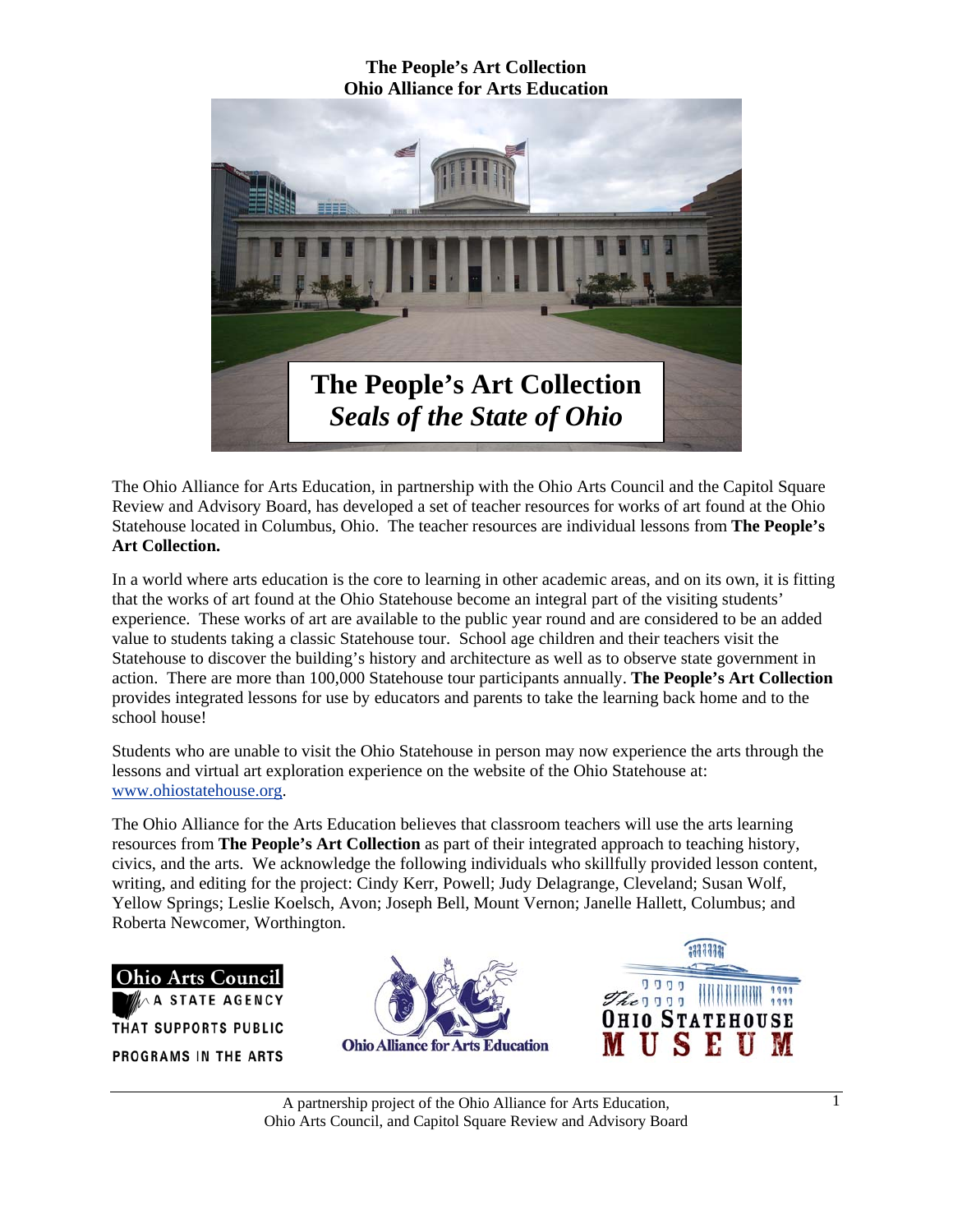

The Ohio Alliance for Arts Education, in partnership with the Ohio Arts Council and the Capitol Square Review and Advisory Board, has developed a set of teacher resources for works of art found at the Ohio Statehouse located in Columbus, Ohio. The teacher resources are individual lessons from **The People's Art Collection.** 

In a world where arts education is the core to learning in other academic areas, and on its own, it is fitting that the works of art found at the Ohio Statehouse become an integral part of the visiting students' experience. These works of art are available to the public year round and are considered to be an added value to students taking a classic Statehouse tour. School age children and their teachers visit the Statehouse to discover the building's history and architecture as well as to observe state government in action. There are more than 100,000 Statehouse tour participants annually. **The People's Art Collection** provides integrated lessons for use by educators and parents to take the learning back home and to the school house!

Students who are unable to visit the Ohio Statehouse in person may now experience the arts through the lessons and virtual art exploration experience on the website of the Ohio Statehouse at: www.ohiostatehouse.org.

The Ohio Alliance for the Arts Education believes that classroom teachers will use the arts learning resources from **The People's Art Collection** as part of their integrated approach to teaching history, civics, and the arts. We acknowledge the following individuals who skillfully provided lesson content, writing, and editing for the project: Cindy Kerr, Powell; Judy Delagrange, Cleveland; Susan Wolf, Yellow Springs; Leslie Koelsch, Avon; Joseph Bell, Mount Vernon; Janelle Hallett, Columbus; and Roberta Newcomer, Worthington.

**Ohio Arts Council** A STATE AGENCY THAT SUPPORTS PUBLIC PROGRAMS IN THE ARTS



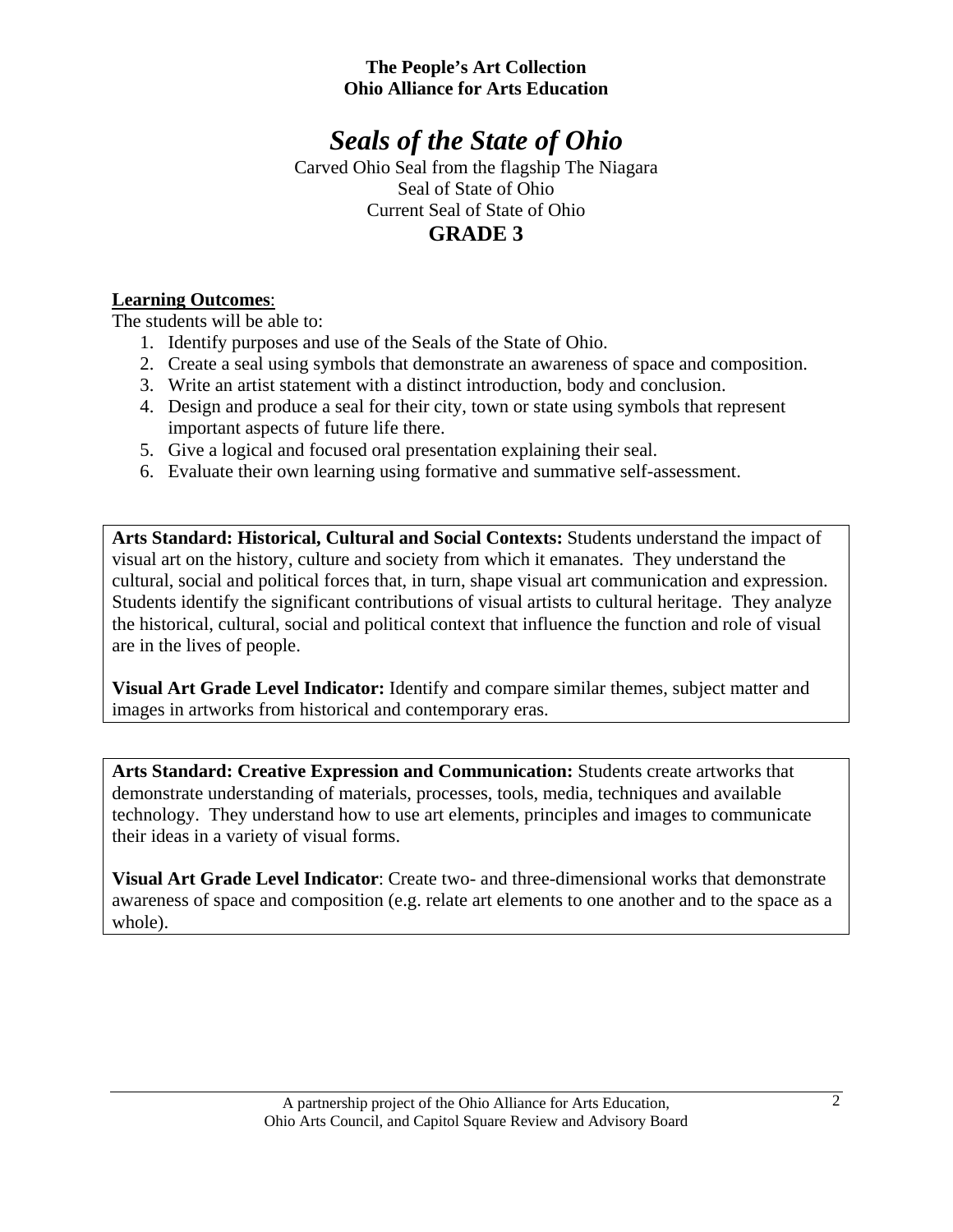# *Seals of the State of Ohio*

Carved Ohio Seal from the flagship The Niagara Seal of State of Ohio Current Seal of State of Ohio **GRADE 3**

## **Learning Outcomes**:

The students will be able to:

- 1. Identify purposes and use of the Seals of the State of Ohio.
- 2. Create a seal using symbols that demonstrate an awareness of space and composition.
- 3. Write an artist statement with a distinct introduction, body and conclusion.
- 4. Design and produce a seal for their city, town or state using symbols that represent important aspects of future life there.
- 5. Give a logical and focused oral presentation explaining their seal.
- 6. Evaluate their own learning using formative and summative self-assessment.

**Arts Standard: Historical, Cultural and Social Contexts:** Students understand the impact of visual art on the history, culture and society from which it emanates. They understand the cultural, social and political forces that, in turn, shape visual art communication and expression. Students identify the significant contributions of visual artists to cultural heritage. They analyze the historical, cultural, social and political context that influence the function and role of visual are in the lives of people.

**Visual Art Grade Level Indicator:** Identify and compare similar themes, subject matter and images in artworks from historical and contemporary eras.

**Arts Standard: Creative Expression and Communication:** Students create artworks that demonstrate understanding of materials, processes, tools, media, techniques and available technology. They understand how to use art elements, principles and images to communicate their ideas in a variety of visual forms.

**Visual Art Grade Level Indicator**: Create two- and three-dimensional works that demonstrate awareness of space and composition (e.g. relate art elements to one another and to the space as a whole).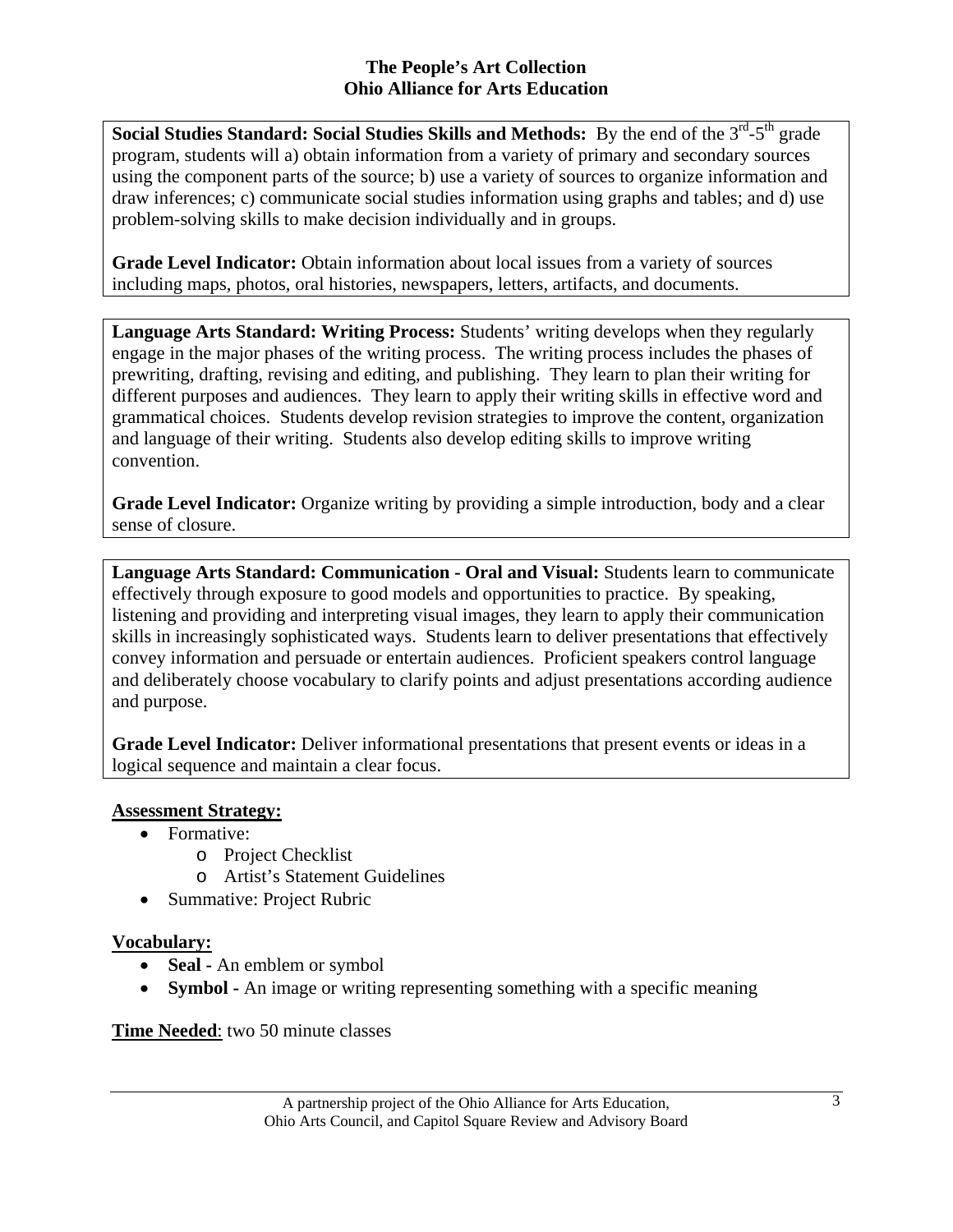**Social Studies Standard: Social Studies Skills and Methods:** By the end of the 3<sup>rd</sup>-5<sup>th</sup> grade program, students will a) obtain information from a variety of primary and secondary sources using the component parts of the source; b) use a variety of sources to organize information and draw inferences; c) communicate social studies information using graphs and tables; and d) use problem-solving skills to make decision individually and in groups.

**Grade Level Indicator:** Obtain information about local issues from a variety of sources including maps, photos, oral histories, newspapers, letters, artifacts, and documents.

**Language Arts Standard: Writing Process:** Students' writing develops when they regularly engage in the major phases of the writing process. The writing process includes the phases of prewriting, drafting, revising and editing, and publishing. They learn to plan their writing for different purposes and audiences. They learn to apply their writing skills in effective word and grammatical choices. Students develop revision strategies to improve the content, organization and language of their writing. Students also develop editing skills to improve writing convention.

Grade Level Indicator: Organize writing by providing a simple introduction, body and a clear sense of closure.

**Language Arts Standard: Communication - Oral and Visual:** Students learn to communicate effectively through exposure to good models and opportunities to practice. By speaking, listening and providing and interpreting visual images, they learn to apply their communication skills in increasingly sophisticated ways. Students learn to deliver presentations that effectively convey information and persuade or entertain audiences. Proficient speakers control language and deliberately choose vocabulary to clarify points and adjust presentations according audience and purpose.

**Grade Level Indicator:** Deliver informational presentations that present events or ideas in a logical sequence and maintain a clear focus.

# **Assessment Strategy:**

- Formative:
	- o Project Checklist
	- o Artist's Statement Guidelines
- Summative: Project Rubric

#### **Vocabulary:**

- **Seal** An emblem or symbol
- **Symbol** An image or writing representing something with a specific meaning

#### **Time Needed**: two 50 minute classes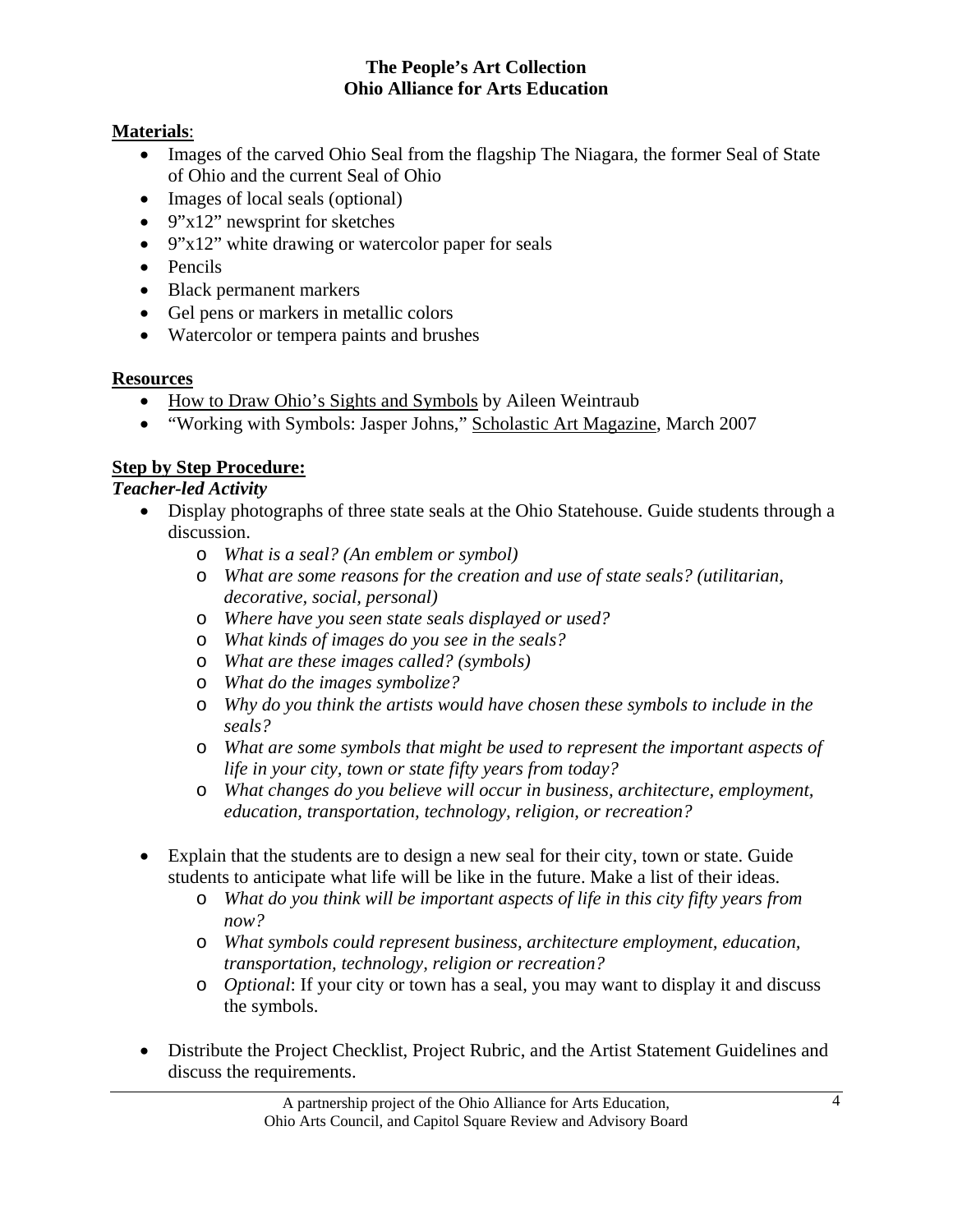## **Materials**:

- Images of the carved Ohio Seal from the flagship The Niagara, the former Seal of State of Ohio and the current Seal of Ohio
- Images of local seals (optional)
- 9"x12" newsprint for sketches
- 9"x12" white drawing or watercolor paper for seals
- Pencils
- Black permanent markers
- Gel pens or markers in metallic colors
- Watercolor or tempera paints and brushes

## **Resources**

- How to Draw Ohio's Sights and Symbols by Aileen Weintraub
- "Working with Symbols: Jasper Johns," Scholastic Art Magazine, March 2007

# **Step by Step Procedure:**

## *Teacher-led Activity*

- Display photographs of three state seals at the Ohio Statehouse. Guide students through a discussion.
	- o *What is a seal? (An emblem or symbol)*
	- o *What are some reasons for the creation and use of state seals? (utilitarian, decorative, social, personal)*
	- o *Where have you seen state seals displayed or used?*
	- o *What kinds of images do you see in the seals?*
	- o *What are these images called? (symbols)*
	- o *What do the images symbolize?*
	- o *Why do you think the artists would have chosen these symbols to include in the seals?*
	- o *What are some symbols that might be used to represent the important aspects of life in your city, town or state fifty years from today?*
	- o *What changes do you believe will occur in business, architecture, employment, education, transportation, technology, religion, or recreation?*
- Explain that the students are to design a new seal for their city, town or state. Guide students to anticipate what life will be like in the future. Make a list of their ideas.
	- o *What do you think will be important aspects of life in this city fifty years from now?*
	- o *What symbols could represent business, architecture employment, education, transportation, technology, religion or recreation?*
	- o *Optional*: If your city or town has a seal, you may want to display it and discuss the symbols.
- Distribute the Project Checklist, Project Rubric, and the Artist Statement Guidelines and discuss the requirements.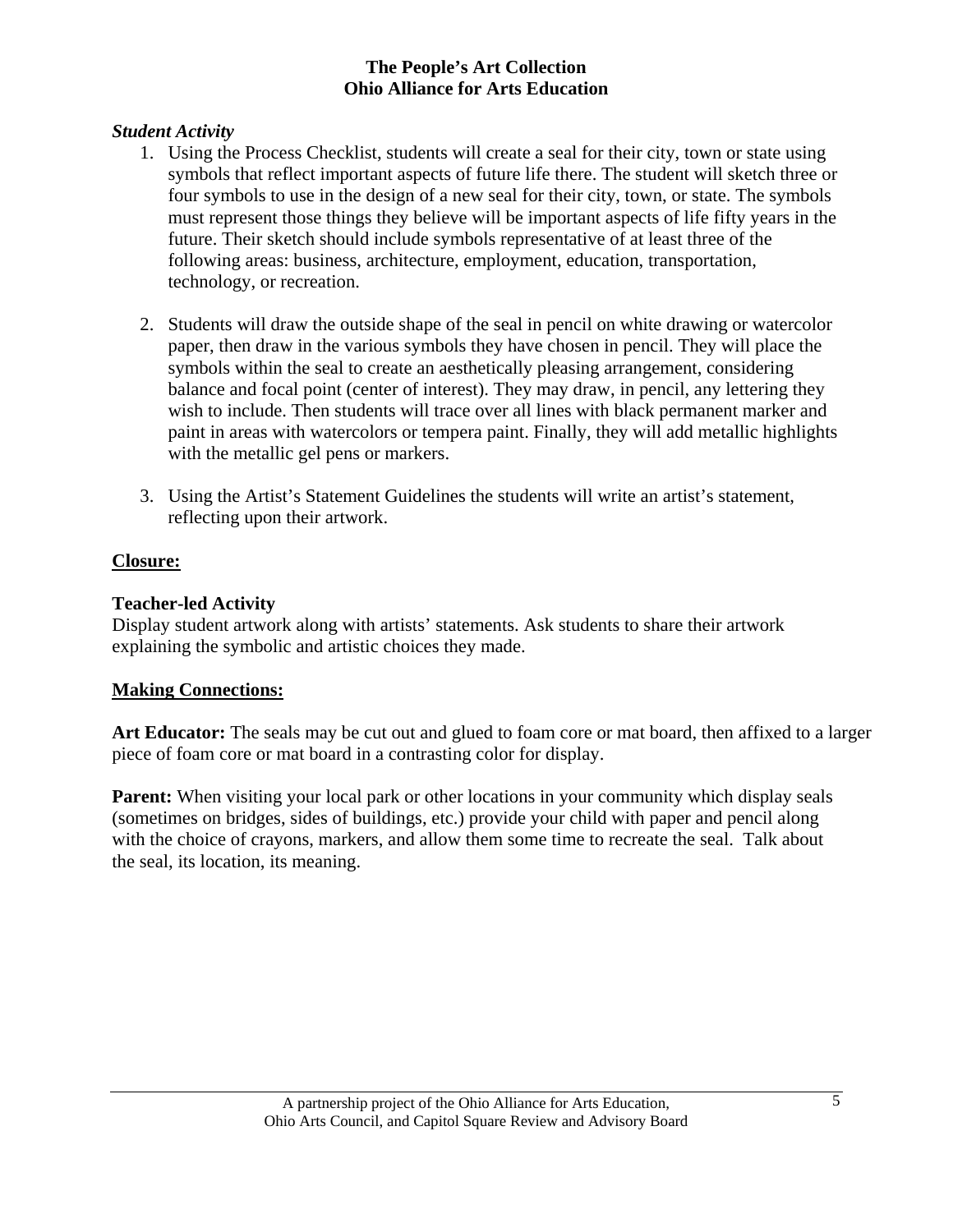#### *Student Activity*

- 1. Using the Process Checklist, students will create a seal for their city, town or state using symbols that reflect important aspects of future life there. The student will sketch three or four symbols to use in the design of a new seal for their city, town, or state. The symbols must represent those things they believe will be important aspects of life fifty years in the future. Their sketch should include symbols representative of at least three of the following areas: business, architecture, employment, education, transportation, technology, or recreation.
- 2. Students will draw the outside shape of the seal in pencil on white drawing or watercolor paper, then draw in the various symbols they have chosen in pencil. They will place the symbols within the seal to create an aesthetically pleasing arrangement, considering balance and focal point (center of interest). They may draw, in pencil, any lettering they wish to include. Then students will trace over all lines with black permanent marker and paint in areas with watercolors or tempera paint. Finally, they will add metallic highlights with the metallic gel pens or markers.
- 3. Using the Artist's Statement Guidelines the students will write an artist's statement, reflecting upon their artwork.

#### **Closure:**

#### **Teacher-led Activity**

Display student artwork along with artists' statements. Ask students to share their artwork explaining the symbolic and artistic choices they made.

#### **Making Connections:**

**Art Educator:** The seals may be cut out and glued to foam core or mat board, then affixed to a larger piece of foam core or mat board in a contrasting color for display.

**Parent:** When visiting your local park or other locations in your community which display seals (sometimes on bridges, sides of buildings, etc.) provide your child with paper and pencil along with the choice of crayons, markers, and allow them some time to recreate the seal. Talk about the seal, its location, its meaning.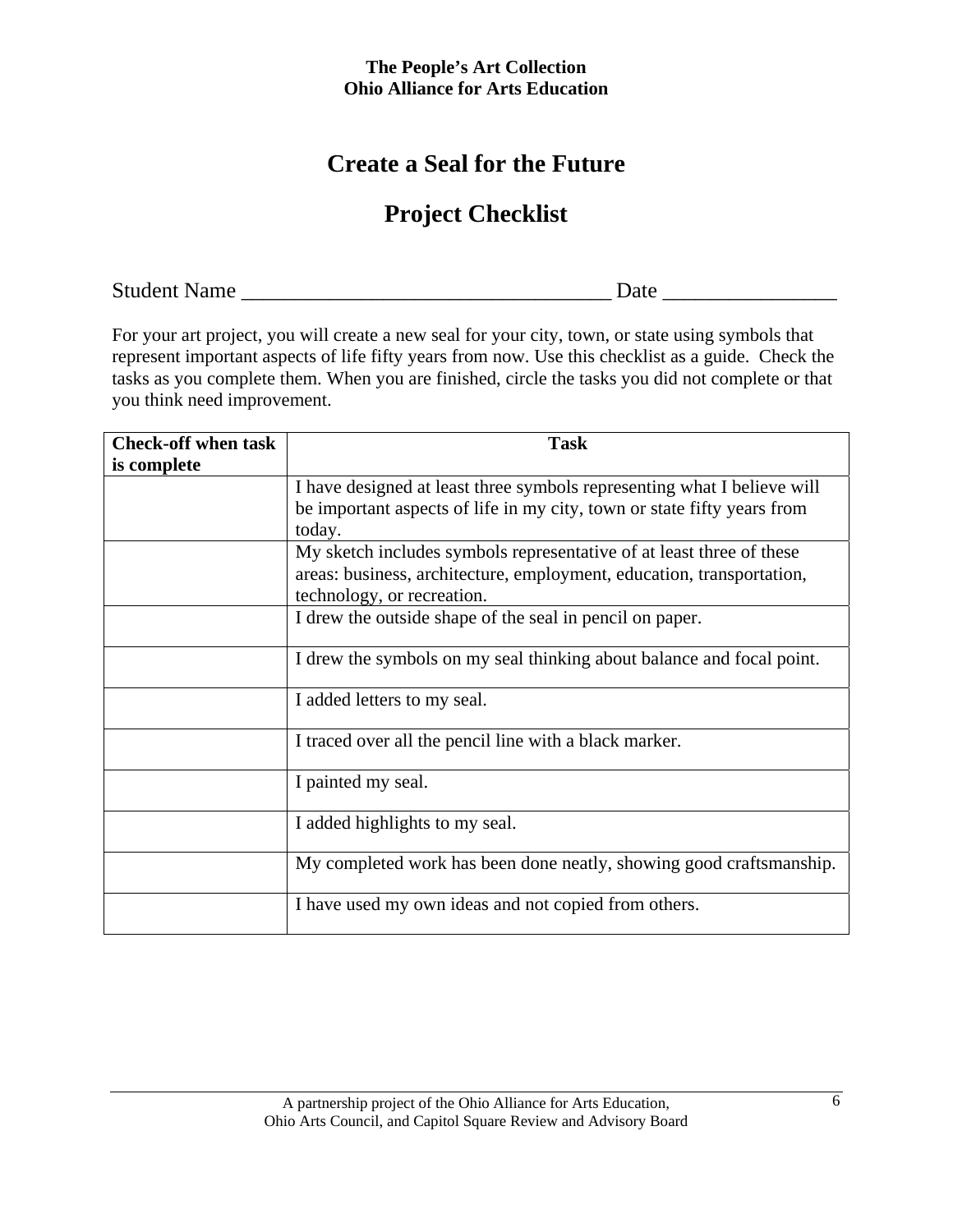# **Create a Seal for the Future**

# **Project Checklist**

Student Name \_\_\_\_\_\_\_\_\_\_\_\_\_\_\_\_\_\_\_\_\_\_\_\_\_\_\_\_\_\_\_\_\_\_ Date \_\_\_\_\_\_\_\_\_\_\_\_\_\_\_\_

For your art project, you will create a new seal for your city, town, or state using symbols that represent important aspects of life fifty years from now. Use this checklist as a guide. Check the tasks as you complete them. When you are finished, circle the tasks you did not complete or that you think need improvement.

| <b>Check-off when task</b> | <b>Task</b>                                                             |  |
|----------------------------|-------------------------------------------------------------------------|--|
| is complete                |                                                                         |  |
|                            | I have designed at least three symbols representing what I believe will |  |
|                            | be important aspects of life in my city, town or state fifty years from |  |
|                            | today.                                                                  |  |
|                            | My sketch includes symbols representative of at least three of these    |  |
|                            | areas: business, architecture, employment, education, transportation,   |  |
|                            | technology, or recreation.                                              |  |
|                            | I drew the outside shape of the seal in pencil on paper.                |  |
|                            | I drew the symbols on my seal thinking about balance and focal point.   |  |
|                            | I added letters to my seal.                                             |  |
|                            | I traced over all the pencil line with a black marker.                  |  |
|                            | I painted my seal.                                                      |  |
|                            | I added highlights to my seal.                                          |  |
|                            | My completed work has been done neatly, showing good craftsmanship.     |  |
|                            | I have used my own ideas and not copied from others.                    |  |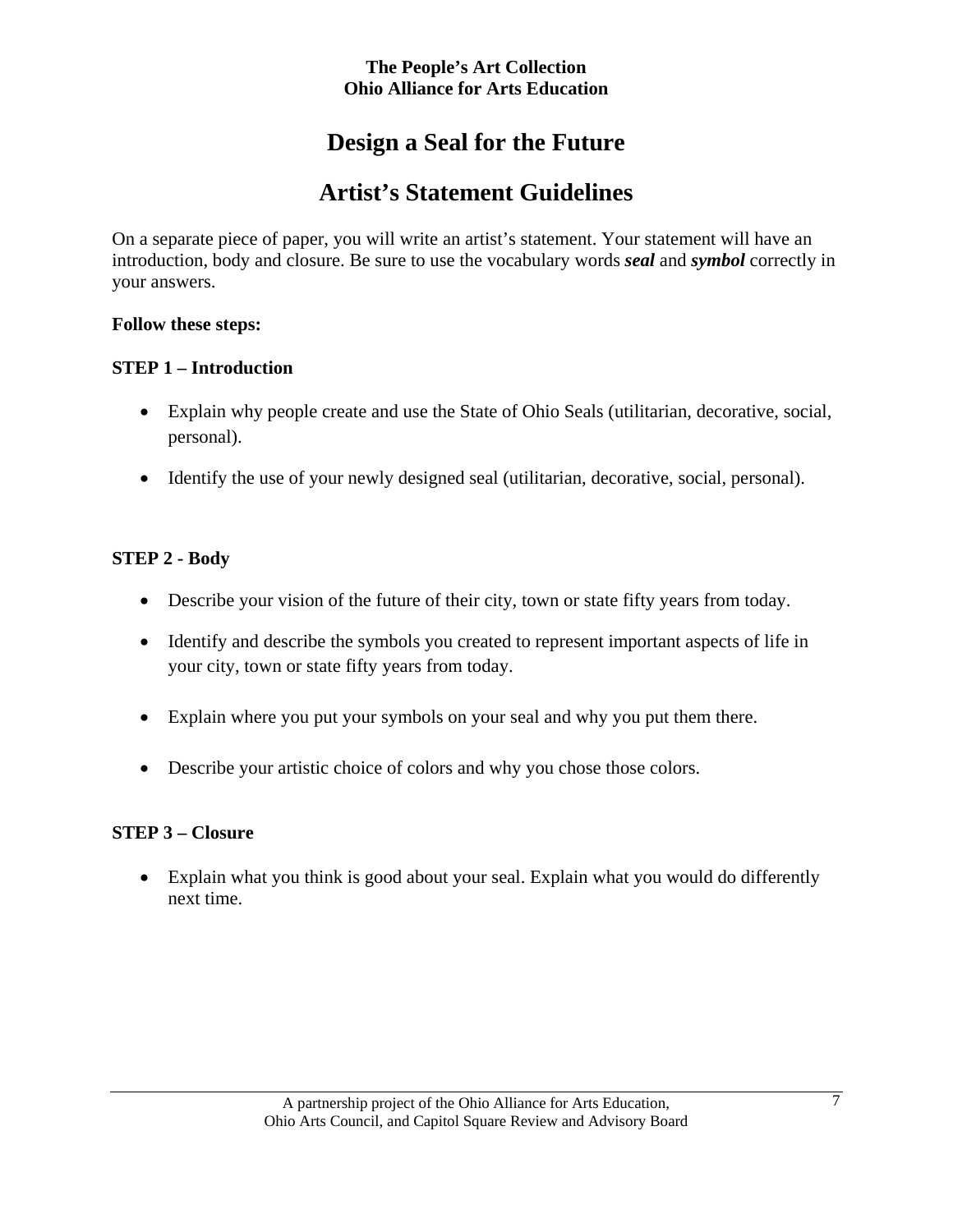# **Design a Seal for the Future**

# **Artist's Statement Guidelines**

On a separate piece of paper, you will write an artist's statement. Your statement will have an introduction, body and closure. Be sure to use the vocabulary words *seal* and *symbol* correctly in your answers.

#### **Follow these steps:**

## **STEP 1 – Introduction**

- Explain why people create and use the State of Ohio Seals (utilitarian, decorative, social, personal).
- Identify the use of your newly designed seal (utilitarian, decorative, social, personal).

## **STEP 2 - Body**

- Describe your vision of the future of their city, town or state fifty years from today.
- Identify and describe the symbols you created to represent important aspects of life in your city, town or state fifty years from today.
- Explain where you put your symbols on your seal and why you put them there.
- Describe your artistic choice of colors and why you chose those colors.

#### **STEP 3 – Closure**

• Explain what you think is good about your seal. Explain what you would do differently next time.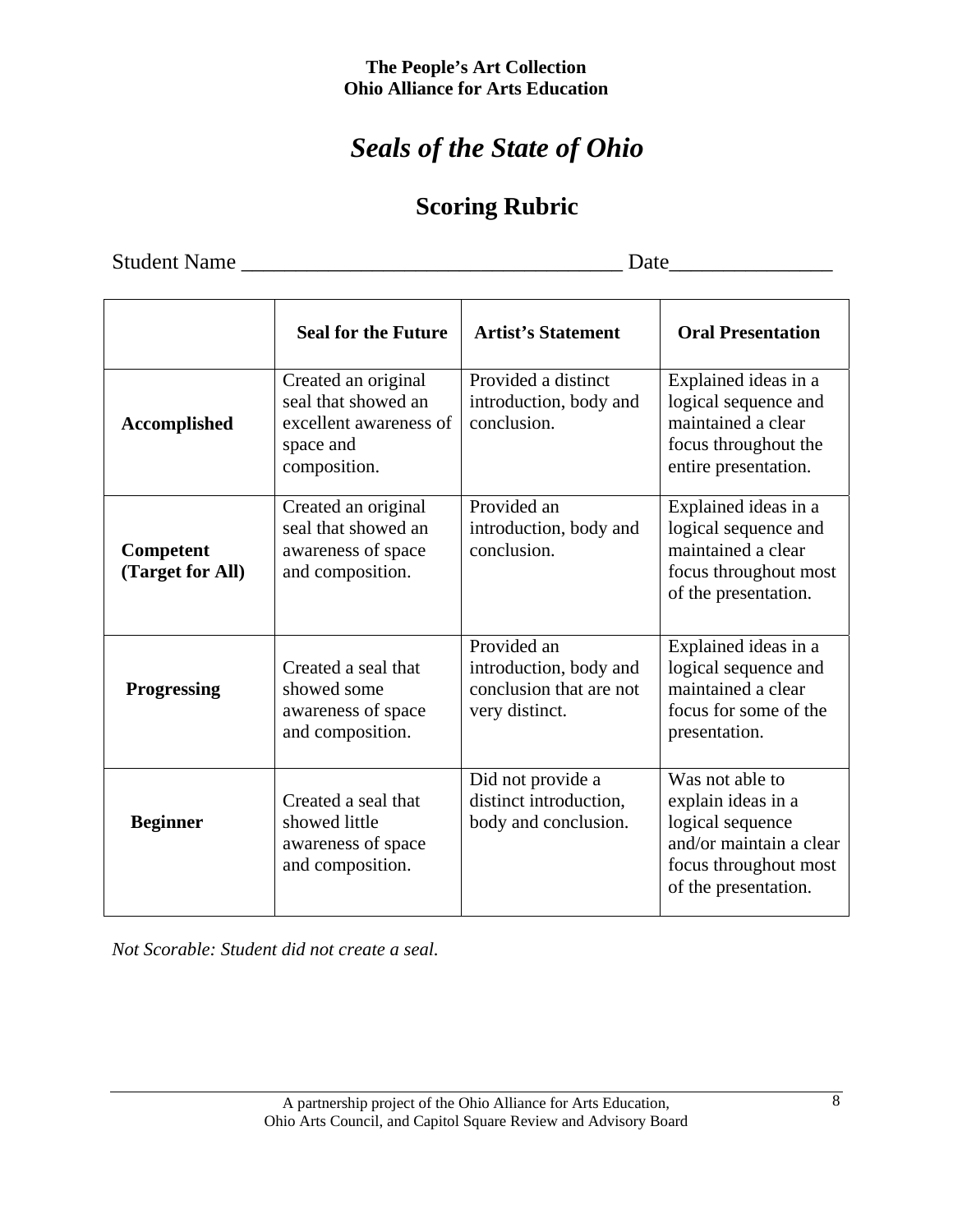# *Seals of the State of Ohio*

# **Scoring Rubric**

Student Name \_\_\_\_\_\_\_\_\_\_\_\_\_\_\_\_\_\_\_\_\_\_\_\_\_\_\_\_\_\_\_\_\_\_\_ Date\_\_\_\_\_\_\_\_\_\_\_\_\_\_\_

|                               | <b>Seal for the Future</b>                                                                        | <b>Artist's Statement</b>                                                          | <b>Oral Presentation</b>                                                                                                              |
|-------------------------------|---------------------------------------------------------------------------------------------------|------------------------------------------------------------------------------------|---------------------------------------------------------------------------------------------------------------------------------------|
| <b>Accomplished</b>           | Created an original<br>seal that showed an<br>excellent awareness of<br>space and<br>composition. | Provided a distinct<br>introduction, body and<br>conclusion.                       | Explained ideas in a<br>logical sequence and<br>maintained a clear<br>focus throughout the<br>entire presentation.                    |
| Competent<br>(Target for All) | Created an original<br>seal that showed an<br>awareness of space<br>and composition.              | Provided an<br>introduction, body and<br>conclusion.                               | Explained ideas in a<br>logical sequence and<br>maintained a clear<br>focus throughout most<br>of the presentation.                   |
| <b>Progressing</b>            | Created a seal that<br>showed some<br>awareness of space<br>and composition.                      | Provided an<br>introduction, body and<br>conclusion that are not<br>very distinct. | Explained ideas in a<br>logical sequence and<br>maintained a clear<br>focus for some of the<br>presentation.                          |
| <b>Beginner</b>               | Created a seal that<br>showed little<br>awareness of space<br>and composition.                    | Did not provide a<br>distinct introduction,<br>body and conclusion.                | Was not able to<br>explain ideas in a<br>logical sequence<br>and/or maintain a clear<br>focus throughout most<br>of the presentation. |

*Not Scorable: Student did not create a seal.*